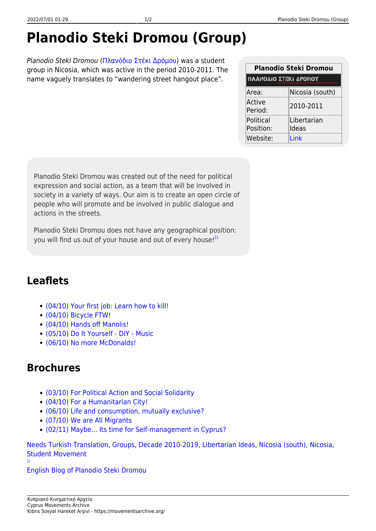## **Planodio Steki Dromou (Group)**

Planodio Steki Dromou [\(Πλανόδιο Στέκι Δρόμου](https://movementsarchive.org/doku.php?id=el:groups:planodiosteki)) was a student group in Nicosia, which was active in the period 2010-2011. The name vaguely translates to "wandering street hangout place".

| Planodio Steki Dromou                       |                 |
|---------------------------------------------|-----------------|
| ΠΛΑΝΟΔΙΟ ΣΤΕΚΙ ΔΡΟΜΟΥ<br>INONIKH AAAHAFITYH |                 |
| Area:                                       | Nicosia (south) |
| Active<br>Period:                           | 2010-2011       |
| Political                                   | Libertarian     |
| Position:                                   | Ideas           |
| Website:                                    | I ink           |

Planodio Steki Dromou was created out of the need for political expression and social action, as a team that will be involved in society in a variety of ways. Our aim is to create an open circle of people who will promote and be involved in public dialogue and actions in the streets.

Planodio Steki Dromou does not have any geographical position: you will find us out of your house and out of every house! $1$ 

## **Leaflets**

- [\(04/10\) Your first job: Learn how to kill!](https://movementsarchive.org/doku.php?id=en:leaflets:planodiosteki:planodiosteki_antimilitaristiko)
- [\(04/10\) Bicycle FTW!](https://movementsarchive.org/doku.php?id=en:leaflets:planodiosteki:planodiosteki_bicycle)
- [\(04/10\) Hands off Manolis!](https://movementsarchive.org/doku.php?id=en:leaflets:planodiosteki:planodiosteki_manolis)
- [\(05/10\) Do It Yourself DIY Music](https://movementsarchive.org/doku.php?id=en:leaflets:planodiosteki:planodiosteki_diy)
- [\(06/10\) No more McDonalds!](https://movementsarchive.org/doku.php?id=en:leaflets:planodiosteki:planodiosteki_mcdonalds)

## **Brochures**

- [\(03/10\) For Political Action and Social Solidarity](https://movementsarchive.org/doku.php?id=en:brochures:planodiosteki:planodiosteki_alilegkii)
- [\(04/10\) For a Humanitarian City!](https://movementsarchive.org/doku.php?id=en:brochures:planodiosteki:planodiosteki_poli)
- [\(06/10\) Life and consumption, mutually exclusive?](https://movementsarchive.org/doku.php?id=en:brochures:planodiosteki:planodiosteki_katanalotismos)
- [\(07/10\) We are All Migrants](https://movementsarchive.org/doku.php?id=en:brochures:planodiosteki:planodiosteki_metanastries)
- [\(02/11\) Maybe... Its time for Self-management in Cyprus?](https://movementsarchive.org/doku.php?id=en:brochures:planodiosteki:planodiosteki_aftoorganosi)

[Needs Turkish Translation](https://movementsarchive.org/doku.php?id=condition:needs_translation:needs_turkish_translation&do=showtag&tag=Condition%3ANeeds_Translation%3ANeeds_Turkish_Translation), [Groups](https://movementsarchive.org/doku.php?id=tag:groups&do=showtag&tag=Groups), [Decade 2010-2019](https://movementsarchive.org/doku.php?id=decade:decade_2010-2019&do=showtag&tag=Decade%3ADecade_2010-2019), [Libertarian Ideas,](https://movementsarchive.org/doku.php?id=ideological_positions:libertarian_ideas&do=showtag&tag=Ideological_Positions%3ALibertarian_Ideas) [Nicosia \(south\)](https://movementsarchive.org/doku.php?id=areas:nicosia:nicosia_south&do=showtag&tag=Areas%3ANicosia%3ANicosia_%28south%29), [Nicosia](https://movementsarchive.org/doku.php?id=areas:nicosia&do=showtag&tag=Areas%3ANicosia), [Student Movement](https://movementsarchive.org/doku.php?id=subject:student_movement&do=showtag&tag=Subject%3AStudent_Movement) [1\)](#page--1-0)

[English Blog of Planodio Steki Dromou](http://steki-dromou-en.blogspot.com.cy/)